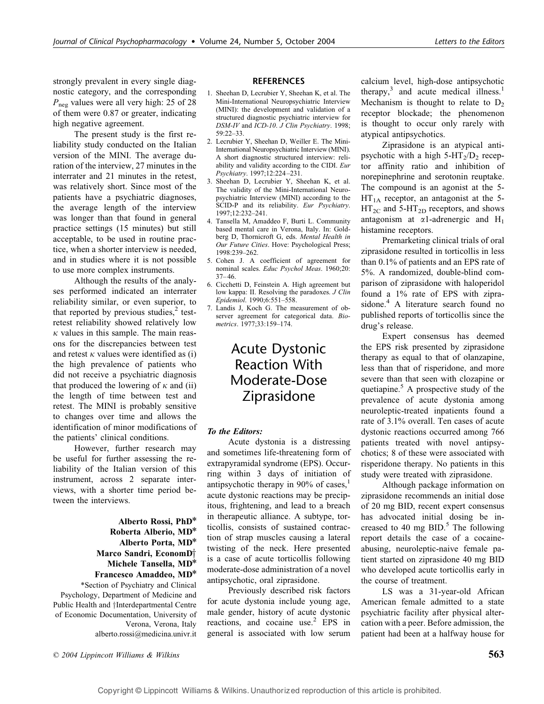strongly prevalent in every single diagnostic category, and the corresponding  $P_{\text{neg}}$  values were all very high: 25 of 28 of them were 0.87 or greater, indicating high negative agreement.

The present study is the first reliability study conducted on the Italian version of the MINI. The average duration of the interview, 27 minutes in the interrater and 21 minutes in the retest, was relatively short. Since most of the patients have a psychiatric diagnoses, the average length of the interview was longer than that found in general practice settings (15 minutes) but still acceptable, to be used in routine practice, when a shorter interview is needed, and in studies where it is not possible to use more complex instruments.

Although the results of the analyses performed indicated an interrater reliability similar, or even superior, to that reported by previous studies, $<sup>2</sup>$  test-</sup> retest reliability showed relatively low  $\kappa$  values in this sample. The main reasons for the discrepancies between test and retest  $\kappa$  values were identified as (i) the high prevalence of patients who did not receive a psychiatric diagnosis that produced the lowering of  $\kappa$  and (ii) the length of time between test and retest. The MINI is probably sensitive to changes over time and allows the identification of minor modifications of the patients' clinical conditions.

However, further research may be useful for further assessing the reliability of the Italian version of this instrument, across 2 separate interviews, with a shorter time period between the interviews.

> Alberto Rossi, PhD\* Roberta Alberio, MD\* Alberto Porta, MD\* Marco Sandri, EconomD<sup>+</sup> Michele Tansella, MD\* Francesco Amaddeo, MD\*

\*Section of Psychiatry and Clinical Psychology, Department of Medicine and Public Health and †Interdepartmental Centre of Economic Documentation, University of Verona, Verona, Italy alberto.rossi@medicina.univr.it

#### REFERENCES

- 1. Sheehan D, Lecrubier Y, Sheehan K, et al. The Mini-International Neuropsychiatric Interview (MINI): the development and validation of a structured diagnostic psychiatric interview for DSM-IV and ICD-10. J Clin Psychiatry. 1998; 59:22–33.
- 2. Lecrubier Y, Sheehan D, Weiller E. The Mini-International Neuropsychiatric Interview (MINI). A short diagnostic structured interview: reliability and validity according to the CIDI. Eur Psychiatry. 1997;12:224–231.
- 3. Sheehan D, Lecrubier Y, Sheehan K, et al. The validity of the Mini-International Neuropsychiatric Interview (MINI) according to the SCID-P and its reliability. Eur Psychiatry. 1997;12:232–241.
- 4. Tansella M, Amaddeo F, Burti L. Community based mental care in Verona, Italy. In: Goldberg D, Thornicroft G, eds. Mental Health in Our Future Cities. Hove: Psychological Press; 1998:239–262.
- 5. Cohen J. A coefficient of agreement for nominal scales. Educ Psychol Meas. 1960;20: 37–46.
- 6. Cicchetti D, Feinstein A. High agreement but low kappa: II. Resolving the paradoxes. J Clin Epidemiol. 1990;6:551–558.
- 7. Landis J, Koch G. The measurement of observer agreement for categorical data. Biometrics. 1977;33:159–174.

## Acute Dystonic Reaction With Moderate-Dose Ziprasidone

#### To the Editors:

Acute dystonia is a distressing and sometimes life-threatening form of extrapyramidal syndrome (EPS). Occurring within 3 days of initiation of antipsychotic therapy in 90% of cases, $\frac{1}{1}$ acute dystonic reactions may be precipitous, frightening, and lead to a breach in therapeutic alliance. A subtype, torticollis, consists of sustained contraction of strap muscles causing a lateral twisting of the neck. Here presented is a case of acute torticollis following moderate-dose administration of a novel antipsychotic, oral ziprasidone.

Previously described risk factors for acute dystonia include young age, male gender, history of acute dystonic reactions, and cocaine use.<sup>2</sup> EPS in general is associated with low serum

calcium level, high-dose antipsychotic therapy, $3$  and acute medical illness.<sup>1</sup> Mechanism is thought to relate to  $D_2$ receptor blockade; the phenomenon is thought to occur only rarely with atypical antipsychotics.

Ziprasidone is an atypical antipsychotic with a high  $5-HT_2/D_2$  receptor affinity ratio and inhibition of norepinephrine and serotonin reuptake. The compound is an agonist at the 5-  $HT<sub>1A</sub>$  receptor, an antagonist at the 5- $HT_{2C}$  and 5-HT<sub>2D</sub> receptors, and shows antagonism at  $\alpha$ 1-adrenergic and H<sub>1</sub> histamine receptors.

Premarketing clinical trials of oral ziprasidone resulted in torticollis in less than 0.1% of patients and an EPS rate of 5%. A randomized, double-blind comparison of ziprasidone with haloperidol found a 1% rate of EPS with ziprasidone.<sup>4</sup> A literature search found no published reports of torticollis since the drug's release.

Expert consensus has deemed the EPS risk presented by ziprasidone therapy as equal to that of olanzapine, less than that of risperidone, and more severe than that seen with clozapine or quetiapine.<sup>5</sup> A prospective study of the prevalence of acute dystonia among neuroleptic-treated inpatients found a rate of 3.1% overall. Ten cases of acute dystonic reactions occurred among 766 patients treated with novel antipsychotics; 8 of these were associated with risperidone therapy. No patients in this study were treated with ziprasidone.

Although package information on ziprasidone recommends an initial dose of 20 mg BID, recent expert consensus has advocated initial dosing be increased to 40 mg  $BID.<sup>5</sup>$  The following report details the case of a cocaineabusing, neuroleptic-naive female patient started on ziprasidone 40 mg BID who developed acute torticollis early in the course of treatment.

LS was a 31-year-old African American female admitted to a state psychiatric facility after physical altercation with a peer. Before admission, the patient had been at a halfway house for

 $\degree$  2004 Lippincott Williams & Wilkins  $\degree$  563